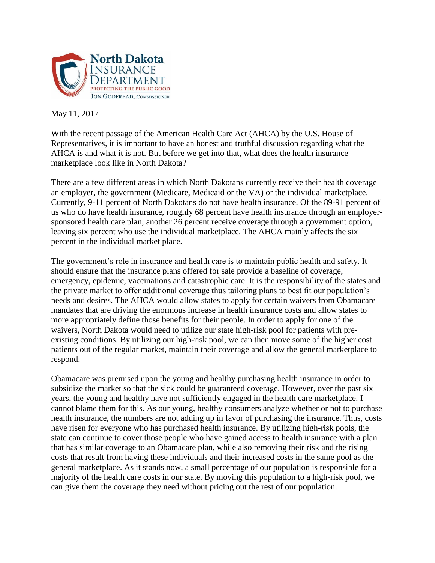

May 11, 2017

With the recent passage of the American Health Care Act (AHCA) by the U.S. House of Representatives, it is important to have an honest and truthful discussion regarding what the AHCA is and what it is not. But before we get into that, what does the health insurance marketplace look like in North Dakota?

There are a few different areas in which North Dakotans currently receive their health coverage – an employer, the government (Medicare, Medicaid or the VA) or the individual marketplace. Currently, 9-11 percent of North Dakotans do not have health insurance. Of the 89-91 percent of us who do have health insurance, roughly 68 percent have health insurance through an employersponsored health care plan, another 26 percent receive coverage through a government option, leaving six percent who use the individual marketplace. The AHCA mainly affects the six percent in the individual market place.

The government's role in insurance and health care is to maintain public health and safety. It should ensure that the insurance plans offered for sale provide a baseline of coverage, emergency, epidemic, vaccinations and catastrophic care. It is the responsibility of the states and the private market to offer additional coverage thus tailoring plans to best fit our population's needs and desires. The AHCA would allow states to apply for certain waivers from Obamacare mandates that are driving the enormous increase in health insurance costs and allow states to more appropriately define those benefits for their people. In order to apply for one of the waivers, North Dakota would need to utilize our state high-risk pool for patients with preexisting conditions. By utilizing our high-risk pool, we can then move some of the higher cost patients out of the regular market, maintain their coverage and allow the general marketplace to respond.

Obamacare was premised upon the young and healthy purchasing health insurance in order to subsidize the market so that the sick could be guaranteed coverage. However, over the past six years, the young and healthy have not sufficiently engaged in the health care marketplace. I cannot blame them for this. As our young, healthy consumers analyze whether or not to purchase health insurance, the numbers are not adding up in favor of purchasing the insurance. Thus, costs have risen for everyone who has purchased health insurance. By utilizing high-risk pools, the state can continue to cover those people who have gained access to health insurance with a plan that has similar coverage to an Obamacare plan, while also removing their risk and the rising costs that result from having these individuals and their increased costs in the same pool as the general marketplace. As it stands now, a small percentage of our population is responsible for a majority of the health care costs in our state. By moving this population to a high-risk pool, we can give them the coverage they need without pricing out the rest of our population.